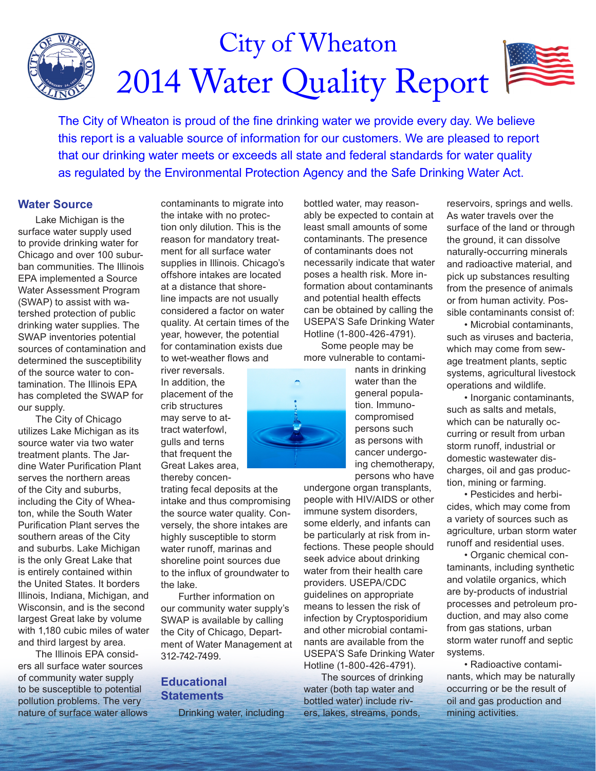

The City of Wheaton is proud of the fine drinking water we provide every day. We believe this report is a valuable source of information for our customers. We are pleased to report that our drinking water meets or exceeds all state and federal standards for water quality as regulated by the Environmental Protection Agency and the Safe Drinking Water Act.

### **Water Source**

Lake Michigan is the surface water supply used to provide drinking water for Chicago and over 100 suburban communities. The Illinois EPA implemented a Source Water Assessment Program (SWAP) to assist with watershed protection of public drinking water supplies. The SWAP inventories potential sources of contamination and determined the susceptibility of the source water to contamination. The Illinois EPA has completed the SWAP for our supply.

The City of Chicago utilizes Lake Michigan as its source water via two water treatment plants. The Jardine Water Purification Plant serves the northern areas of the City and suburbs, including the City of Wheaton, while the South Water Purification Plant serves the southern areas of the City and suburbs. Lake Michigan is the only Great Lake that is entirely contained within the United States. It borders Illinois, Indiana, Michigan, and Wisconsin, and is the second largest Great lake by volume with 1,180 cubic miles of water and third largest by area.

The Illinois EPA considers all surface water sources of community water supply to be susceptible to potential pollution problems. The very nature of surface water allows

contaminants to migrate into the intake with no protection only dilution. This is the reason for mandatory treatment for all surface water supplies in Illinois. Chicago's offshore intakes are located at a distance that shoreline impacts are not usually considered a factor on water quality. At certain times of the year, however, the potential for contamination exists due to wet-weather flows and

river reversals. In addition, the placement of the crib structures may serve to attract waterfowl, gulls and terns that frequent the Great Lakes area, thereby concen-

trating fecal deposits at the intake and thus compromising the source water quality. Conversely, the shore intakes are highly susceptible to storm water runoff, marinas and shoreline point sources due to the influx of groundwater to the lake.

Further information on our community water supply's SWAP is available by calling the City of Chicago, Department of Water Management at 312-742-7499.

## **Educational Statements**

Drinking water, including

bottled water, may reasonably be expected to contain at least small amounts of some contaminants. The presence of contaminants does not necessarily indicate that water poses a health risk. More information about contaminants and potential health effects can be obtained by calling the USEPA'S Safe Drinking Water Hotline (1-800-426-4791).

Some people may be more vulnerable to contami-



nants in drinking water than the general population. Immunocompromised persons such as persons with cancer undergoing chemotherapy, persons who have

undergone organ transplants, people with HIV/AIDS or other immune system disorders, some elderly, and infants can be particularly at risk from infections. These people should seek advice about drinking water from their health care providers. USEPA/CDC guidelines on appropriate means to lessen the risk of infection by Cryptosporidium and other microbial contaminants are available from the USEPA'S Safe Drinking Water Hotline (1-800-426-4791).

The sources of drinking water (both tap water and bottled water) include rivers, lakes, streams, ponds,

reservoirs, springs and wells. As water travels over the surface of the land or through the ground, it can dissolve naturally-occurring minerals and radioactive material, and pick up substances resulting from the presence of animals or from human activity. Possible contaminants consist of:

• Microbial contaminants, such as viruses and bacteria, which may come from sewage treatment plants, septic systems, agricultural livestock operations and wildlife.

• Inorganic contaminants, such as salts and metals, which can be naturally occurring or result from urban storm runoff, industrial or domestic wastewater discharges, oil and gas production, mining or farming.

• Pesticides and herbicides, which may come from a variety of sources such as agriculture, urban storm water runoff and residential uses.

• Organic chemical contaminants, including synthetic and volatile organics, which are by-products of industrial processes and petroleum production, and may also come from gas stations, urban storm water runoff and septic systems.

• Radioactive contaminants, which may be naturally occurring or be the result of oil and gas production and mining activities.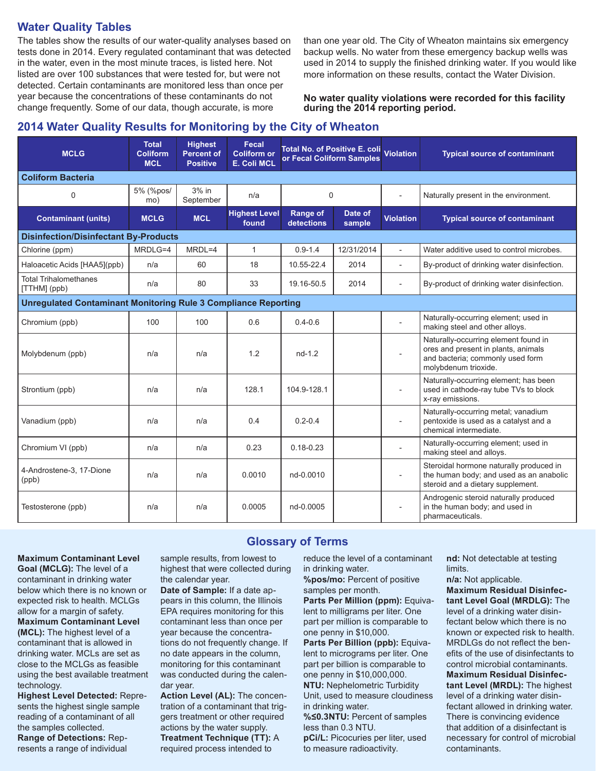## **Water Quality Tables**

The tables show the results of our water-quality analyses based on tests done in 2014. Every regulated contaminant that was detected in the water, even in the most minute traces, is listed here. Not listed are over 100 substances that were tested for, but were not detected. Certain contaminants are monitored less than once per year because the concentrations of these contaminants do not change frequently. Some of our data, though accurate, is more

than one year old. The City of Wheaton maintains six emergency backup wells. No water from these emergency backup wells was used in 2014 to supply the finished drinking water. If you would like more information on these results, contact the Water Division.

**No water quality violations were recorded for this facility during the 2014 reporting period.**

# **2014 Water Quality Results for Monitoring by the City of Wheaton**

| <b>MCLG</b>                                                           | <b>Total</b><br><b>Coliform</b><br><b>MCL</b> | <b>Highest</b><br><b>Percent of</b><br><b>Positive</b> | Fecal<br><b>Coliform or</b><br><b>E. Coli MCL</b> | Total No. of Positive E. coli Violation<br>or Fecal Coliform Samples |                   |                          | <b>Typical source of contaminant</b>                                                                                                    |  |  |  |  |  |  |
|-----------------------------------------------------------------------|-----------------------------------------------|--------------------------------------------------------|---------------------------------------------------|----------------------------------------------------------------------|-------------------|--------------------------|-----------------------------------------------------------------------------------------------------------------------------------------|--|--|--|--|--|--|
| <b>Coliform Bacteria</b>                                              |                                               |                                                        |                                                   |                                                                      |                   |                          |                                                                                                                                         |  |  |  |  |  |  |
| 0                                                                     | 5% (%pos/<br>mo)                              | $3%$ in<br>September                                   | n/a                                               | $\mathbf 0$                                                          |                   |                          | Naturally present in the environment.                                                                                                   |  |  |  |  |  |  |
| <b>Contaminant (units)</b>                                            | <b>MCLG</b>                                   | <b>MCL</b>                                             | <b>Highest Level</b><br>found                     | <b>Range of</b><br>detections                                        | Date of<br>sample | <b>Violation</b>         | <b>Typical source of contaminant</b>                                                                                                    |  |  |  |  |  |  |
| <b>Disinfection/Disinfectant By-Products</b>                          |                                               |                                                        |                                                   |                                                                      |                   |                          |                                                                                                                                         |  |  |  |  |  |  |
| Chlorine (ppm)                                                        | MRDLG=4                                       | $MRDL=4$                                               | $\mathbf{1}$                                      | $0.9 - 1.4$                                                          | 12/31/2014        | $\overline{a}$           | Water additive used to control microbes.                                                                                                |  |  |  |  |  |  |
| Haloacetic Acids [HAA5](ppb)                                          | n/a                                           | 60                                                     | 18                                                | 10.55-22.4                                                           | 2014              | $\overline{\phantom{a}}$ | By-product of drinking water disinfection.                                                                                              |  |  |  |  |  |  |
| <b>Total Trihalomethanes</b><br>[TTHM] (ppb)                          | n/a                                           | 80                                                     | 33                                                | 19.16-50.5                                                           | 2014              | $\overline{a}$           | By-product of drinking water disinfection.                                                                                              |  |  |  |  |  |  |
| <b>Unregulated Contaminant Monitoring Rule 3 Compliance Reporting</b> |                                               |                                                        |                                                   |                                                                      |                   |                          |                                                                                                                                         |  |  |  |  |  |  |
| Chromium (ppb)                                                        | 100                                           | 100                                                    | 0.6                                               | $0.4 - 0.6$                                                          |                   | $\overline{a}$           | Naturally-occurring element; used in<br>making steel and other alloys.                                                                  |  |  |  |  |  |  |
| Molybdenum (ppb)                                                      | n/a                                           | n/a                                                    | 1.2                                               | $nd-1.2$                                                             |                   | $\overline{a}$           | Naturally-occurring element found in<br>ores and present in plants, animals<br>and bacteria; commonly used form<br>molybdenum trioxide. |  |  |  |  |  |  |
| Strontium (ppb)                                                       | n/a                                           | n/a                                                    | 128.1                                             | 104.9-128.1                                                          |                   | $\overline{a}$           | Naturally-occurring element; has been<br>used in cathode-ray tube TVs to block<br>x-ray emissions.                                      |  |  |  |  |  |  |
| Vanadium (ppb)                                                        | n/a                                           | n/a                                                    | 0.4                                               | $0.2 - 0.4$                                                          |                   | $\overline{a}$           | Naturally-occurring metal; vanadium<br>pentoxide is used as a catalyst and a<br>chemical intermediate.                                  |  |  |  |  |  |  |
| Chromium VI (ppb)                                                     | n/a                                           | n/a                                                    | 0.23                                              | $0.18 - 0.23$                                                        |                   |                          | Naturally-occurring element; used in<br>making steel and alloys.                                                                        |  |  |  |  |  |  |
| 4-Androstene-3, 17-Dione<br>(ppb)                                     | n/a                                           | n/a                                                    | 0.0010                                            | nd-0.0010                                                            |                   | $\overline{a}$           | Steroidal hormone naturally produced in<br>the human body; and used as an anabolic<br>steroid and a dietary supplement.                 |  |  |  |  |  |  |
| Testosterone (ppb)                                                    | n/a                                           | n/a                                                    | 0.0005                                            | nd-0.0005                                                            |                   |                          | Androgenic steroid naturally produced<br>in the human body; and used in<br>pharmaceuticals.                                             |  |  |  |  |  |  |

**Glossary of Terms**

#### **Maximum Contaminant Level**

**Goal (MCLG):** The level of a contaminant in drinking water below which there is no known or expected risk to health. MCLGs allow for a margin of safety. **Maximum Contaminant Level (MCL):** The highest level of a contaminant that is allowed in drinking water. MCLs are set as close to the MCLGs as feasible using the best available treatment technology.

**Highest Level Detected:** Represents the highest single sample reading of a contaminant of all the samples collected. **Range of Detections:** Represents a range of individual

sample results, from lowest to highest that were collected during the calendar year.

**Date of Sample:** If a date appears in this column, the Illinois EPA requires monitoring for this contaminant less than once per year because the concentrations do not frequently change. If no date appears in the column, monitoring for this contaminant was conducted during the calendar year.

**Action Level (AL):** The concentration of a contaminant that triggers treatment or other required actions by the water supply. **Treatment Technique (TT):** A required process intended to

reduce the level of a contaminant in drinking water.

**%pos/mo:** Percent of positive samples per month.

**Parts Per Million (ppm): Equiva**lent to milligrams per liter. One part per million is comparable to one penny in \$10,000.

**Parts Per Billion (ppb):** Equivalent to micrograms per liter. One part per billion is comparable to one penny in \$10,000,000. **NTU:** Nephelometric Turbidity Unit, used to measure cloudiness in drinking water. **%≤0.3NTU:** Percent of samples less than 0.3 NTU.

**pCi/L:** Picocuries per liter, used to measure radioactivity.

**nd:** Not detectable at testing limits.

**n/a:** Not applicable. **Maximum Residual Disinfectant Level Goal (MRDLG):** The level of a drinking water disinfectant below which there is no known or expected risk to health. MRDLGs do not reflect the benefits of the use of disinfectants to control microbial contaminants. **Maximum Residual Disinfectant Level (MRDL):** The highest level of a drinking water disinfectant allowed in drinking water. There is convincing evidence that addition of a disinfectant is necessary for control of microbial contaminants.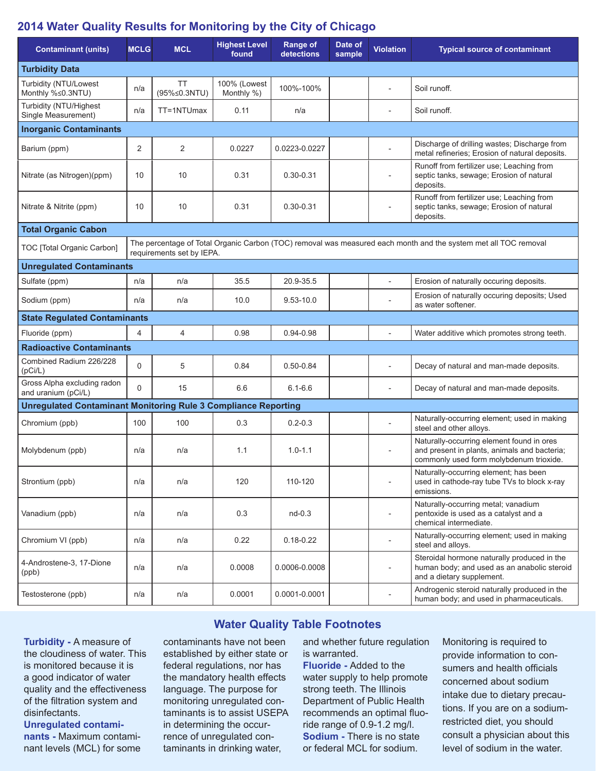# **2014 Water Quality Results for Monitoring by the City of Chicago**

| <b>Contaminant (units)</b>                                                                                                                                                 | <b>MCLG</b> | <b>MCL</b>                | <b>Highest Level</b><br>found | <b>Range of</b><br>detections | Date of<br>sample | <b>Violation</b>         | <b>Typical source of contaminant</b>                                                                                                 |  |  |  |  |  |
|----------------------------------------------------------------------------------------------------------------------------------------------------------------------------|-------------|---------------------------|-------------------------------|-------------------------------|-------------------|--------------------------|--------------------------------------------------------------------------------------------------------------------------------------|--|--|--|--|--|
| <b>Turbidity Data</b>                                                                                                                                                      |             |                           |                               |                               |                   |                          |                                                                                                                                      |  |  |  |  |  |
| Turbidity (NTU/Lowest<br>Monthly %≤0.3NTU)                                                                                                                                 | n/a         | <b>TT</b><br>(95%≤0.3NTU) | 100% (Lowest<br>Monthly %)    | 100%-100%                     |                   |                          | Soil runoff.                                                                                                                         |  |  |  |  |  |
| Turbidity (NTU/Highest<br>Single Measurement)                                                                                                                              | n/a         | TT=1NTUmax                | 0.11                          | n/a                           |                   | $\overline{a}$           | Soil runoff.                                                                                                                         |  |  |  |  |  |
| <b>Inorganic Contaminants</b>                                                                                                                                              |             |                           |                               |                               |                   |                          |                                                                                                                                      |  |  |  |  |  |
| Barium (ppm)                                                                                                                                                               | 2           | 2                         | 0.0227                        | 0.0223-0.0227                 |                   |                          | Discharge of drilling wastes; Discharge from<br>metal refineries; Erosion of natural deposits.                                       |  |  |  |  |  |
| Nitrate (as Nitrogen)(ppm)                                                                                                                                                 | 10          | 10                        | 0.31                          | $0.30 - 0.31$                 |                   | $\overline{a}$           | Runoff from fertilizer use; Leaching from<br>septic tanks, sewage; Erosion of natural<br>deposits.                                   |  |  |  |  |  |
| Nitrate & Nitrite (ppm)                                                                                                                                                    | 10          | 10                        | 0.31                          | $0.30 - 0.31$                 |                   | $\overline{a}$           | Runoff from fertilizer use; Leaching from<br>septic tanks, sewage; Erosion of natural<br>deposits.                                   |  |  |  |  |  |
| <b>Total Organic Cabon</b>                                                                                                                                                 |             |                           |                               |                               |                   |                          |                                                                                                                                      |  |  |  |  |  |
| The percentage of Total Organic Carbon (TOC) removal was measured each month and the system met all TOC removal<br>TOC [Total Organic Carbon]<br>requirements set by IEPA. |             |                           |                               |                               |                   |                          |                                                                                                                                      |  |  |  |  |  |
| <b>Unregulated Contaminants</b>                                                                                                                                            |             |                           |                               |                               |                   |                          |                                                                                                                                      |  |  |  |  |  |
| Sulfate (ppm)                                                                                                                                                              | n/a         | n/a                       | 35.5                          | 20.9-35.5                     |                   | $\overline{\phantom{a}}$ | Erosion of naturally occuring deposits.                                                                                              |  |  |  |  |  |
| Sodium (ppm)                                                                                                                                                               | n/a         | n/a                       | 10.0                          | $9.53 - 10.0$                 |                   |                          | Erosion of naturally occuring deposits; Used<br>as water softener.                                                                   |  |  |  |  |  |
| <b>State Regulated Contaminants</b>                                                                                                                                        |             |                           |                               |                               |                   |                          |                                                                                                                                      |  |  |  |  |  |
| Fluoride (ppm)                                                                                                                                                             | 4           | $\overline{4}$            | 0.98                          | $0.94 - 0.98$                 |                   | $\overline{a}$           | Water additive which promotes strong teeth.                                                                                          |  |  |  |  |  |
| <b>Radioactive Contaminants</b>                                                                                                                                            |             |                           |                               |                               |                   |                          |                                                                                                                                      |  |  |  |  |  |
| Combined Radium 226/228<br>(pCi/L)                                                                                                                                         | $\Omega$    | 5                         | 0.84                          | $0.50 - 0.84$                 |                   | $\overline{a}$           | Decay of natural and man-made deposits.                                                                                              |  |  |  |  |  |
| Gross Alpha excluding radon<br>and uranium (pCi/L)                                                                                                                         | $\Omega$    | 15                        | 6.6                           | $6.1 - 6.6$                   |                   | $\overline{a}$           | Decay of natural and man-made deposits.                                                                                              |  |  |  |  |  |
| <b>Unregulated Contaminant Monitoring Rule 3 Compliance Reporting</b>                                                                                                      |             |                           |                               |                               |                   |                          |                                                                                                                                      |  |  |  |  |  |
| Chromium (ppb)                                                                                                                                                             | 100         | 100                       | 0.3                           | $0.2 - 0.3$                   |                   |                          | Naturally-occurring element; used in making<br>steel and other alloys.                                                               |  |  |  |  |  |
| Molybdenum (ppb)                                                                                                                                                           | n/a         | n/a                       | 1.1                           | $1.0 - 1.1$                   |                   |                          | Naturally-occurring element found in ores<br>and present in plants, animals and bacteria;<br>commonly used form molybdenum trioxide. |  |  |  |  |  |
| Strontium (ppb)                                                                                                                                                            | n/a         | n/a                       | 120                           | 110-120                       |                   | $\overline{\phantom{a}}$ | Naturally-occurring element; has been<br>used in cathode-ray tube TVs to block x-ray<br>emissions.                                   |  |  |  |  |  |
| Vanadium (ppb)                                                                                                                                                             | n/a         | n/a                       | 0.3                           | $nd-0.3$                      |                   | $\overline{a}$           | Naturally-occurring metal; vanadium<br>pentoxide is used as a catalyst and a<br>chemical intermediate.                               |  |  |  |  |  |
| Chromium VI (ppb)                                                                                                                                                          | n/a         | n/a                       | 0.22                          | $0.18 - 0.22$                 |                   | ÷,                       | Naturally-occurring element; used in making<br>steel and alloys.                                                                     |  |  |  |  |  |
| 4-Androstene-3, 17-Dione<br>(ppb)                                                                                                                                          | n/a         | n/a                       | 0.0008                        | 0.0006-0.0008                 |                   | $\overline{\phantom{a}}$ | Steroidal hormone naturally produced in the<br>human body; and used as an anabolic steroid<br>and a dietary supplement.              |  |  |  |  |  |
| Testosterone (ppb)                                                                                                                                                         | n/a         | n/a                       | 0.0001                        | 0.0001-0.0001                 |                   |                          | Androgenic steroid naturally produced in the<br>human body; and used in pharmaceuticals.                                             |  |  |  |  |  |

**Water Quality Table Footnotes**

### **Turbidity -** A measure of the cloudiness of water. This is monitored because it is a good indicator of water quality and the effectiveness of the filtration system and disinfectants.

### **Unregulated contaminants -** Maximum contaminant levels (MCL) for some

contaminants have not been established by either state or federal regulations, nor has the mandatory health effects language. The purpose for monitoring unregulated contaminants is to assist USEPA in determining the occurrence of unregulated contaminants in drinking water,

and whether future regulation is warranted.

**Fluoride -** Added to the water supply to help promote strong teeth. The Illinois Department of Public Health recommends an optimal fluoride range of 0.9-1.2 mg/l. **Sodium -** There is no state or federal MCL for sodium.

Monitoring is required to provide information to consumers and health officials concerned about sodium intake due to dietary precautions. If you are on a sodiumrestricted diet, you should consult a physician about this level of sodium in the water.